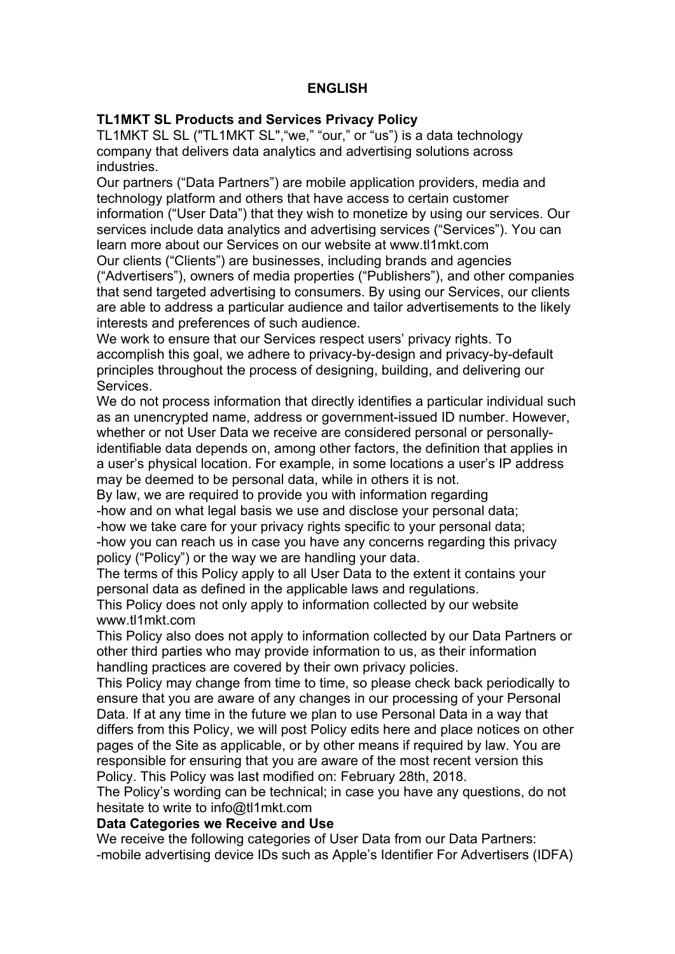# **ENGLISH**

## **TL1MKT SL Products and Services Privacy Policy**

TL1MKT SL SL ("TL1MKT SL","we," "our," or "us") is a data technology company that delivers data analytics and advertising solutions across industries.

Our partners ("Data Partners") are mobile application providers, media and technology platform and others that have access to certain customer information ("User Data") that they wish to monetize by using our services. Our services include data analytics and advertising services ("Services"). You can learn more about our Services on our website at www.tl1mkt.com

Our clients ("Clients") are businesses, including brands and agencies ("Advertisers"), owners of media properties ("Publishers"), and other companies that send targeted advertising to consumers. By using our Services, our clients are able to address a particular audience and tailor advertisements to the likely interests and preferences of such audience.

We work to ensure that our Services respect users' privacy rights. To accomplish this goal, we adhere to privacy-by-design and privacy-by-default principles throughout the process of designing, building, and delivering our Services.

We do not process information that directly identifies a particular individual such as an unencrypted name, address or government-issued ID number. However, whether or not User Data we receive are considered personal or personallyidentifiable data depends on, among other factors, the definition that applies in a user's physical location. For example, in some locations a user's IP address may be deemed to be personal data, while in others it is not.

By law, we are required to provide you with information regarding -how and on what legal basis we use and disclose your personal data;

-how we take care for your privacy rights specific to your personal data;

-how you can reach us in case you have any concerns regarding this privacy policy ("Policy") or the way we are handling your data.

The terms of this Policy apply to all User Data to the extent it contains your personal data as defined in the applicable laws and regulations.

This Policy does not only apply to information collected by our website www.tl1mkt.com

This Policy also does not apply to information collected by our Data Partners or other third parties who may provide information to us, as their information handling practices are covered by their own privacy policies.

This Policy may change from time to time, so please check back periodically to ensure that you are aware of any changes in our processing of your Personal Data. If at any time in the future we plan to use Personal Data in a way that differs from this Policy, we will post Policy edits here and place notices on other pages of the Site as applicable, or by other means if required by law. You are responsible for ensuring that you are aware of the most recent version this Policy. This Policy was last modified on: February 28th, 2018.

The Policy's wording can be technical; in case you have any questions, do not hesitate to write to info@tl1mkt.com

## **Data Categories we Receive and Use**

We receive the following categories of User Data from our Data Partners: -mobile advertising device IDs such as Apple's Identifier For Advertisers (IDFA)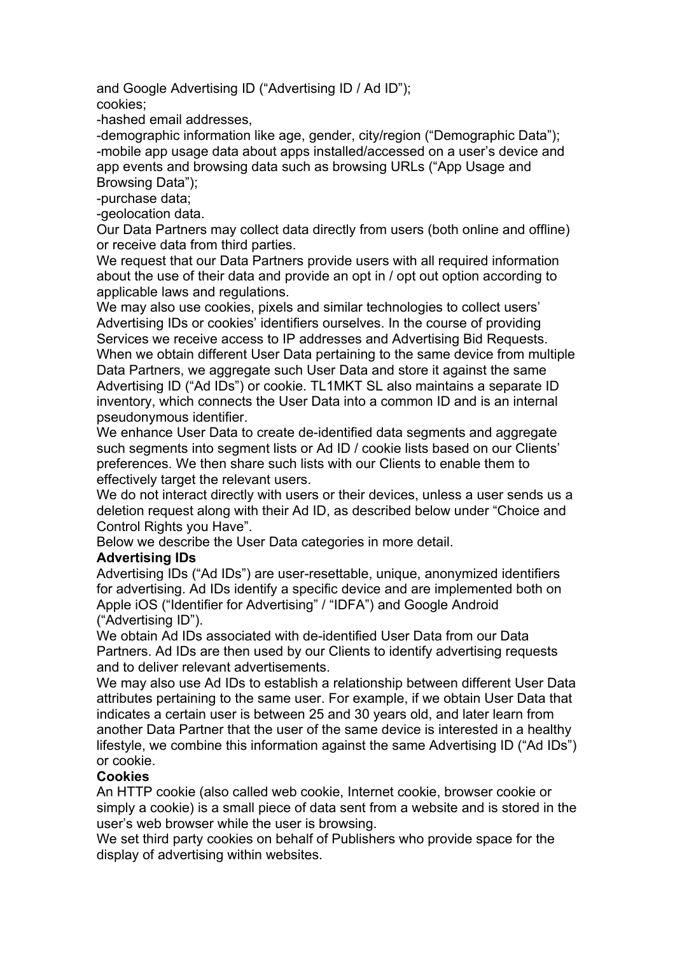and Google Advertising ID ("Advertising ID / Ad ID"); cookies;

-hashed email addresses,

-demographic information like age, gender, city/region ("Demographic Data"); -mobile app usage data about apps installed/accessed on a user's device and app events and browsing data such as browsing URLs ("App Usage and Browsing Data");

-purchase data;

-geolocation data.

Our Data Partners may collect data directly from users (both online and offline) or receive data from third parties.

We request that our Data Partners provide users with all required information about the use of their data and provide an opt in / opt out option according to applicable laws and regulations.

We may also use cookies, pixels and similar technologies to collect users' Advertising IDs or cookies' identifiers ourselves. In the course of providing Services we receive access to IP addresses and Advertising Bid Requests. When we obtain different User Data pertaining to the same device from multiple Data Partners, we aggregate such User Data and store it against the same Advertising ID ("Ad IDs") or cookie. TL1MKT SL also maintains a separate ID inventory, which connects the User Data into a common ID and is an internal pseudonymous identifier.

We enhance User Data to create de-identified data segments and aggregate such segments into segment lists or Ad ID / cookie lists based on our Clients' preferences. We then share such lists with our Clients to enable them to effectively target the relevant users.

We do not interact directly with users or their devices, unless a user sends us a deletion request along with their Ad ID, as described below under "Choice and Control Rights you Have".

Below we describe the User Data categories in more detail.

### **Advertising IDs**

Advertising IDs ("Ad IDs") are user-resettable, unique, anonymized identifiers for advertising. Ad IDs identify a specific device and are implemented both on Apple iOS ("Identifier for Advertising" / "IDFA") and Google Android ("Advertising ID").

We obtain Ad IDs associated with de-identified User Data from our Data Partners. Ad IDs are then used by our Clients to identify advertising requests and to deliver relevant advertisements.

We may also use Ad IDs to establish a relationship between different User Data attributes pertaining to the same user. For example, if we obtain User Data that indicates a certain user is between 25 and 30 years old, and later learn from another Data Partner that the user of the same device is interested in a healthy lifestyle, we combine this information against the same Advertising ID ("Ad IDs") or cookie.

### **Cookies**

An HTTP cookie (also called web cookie, Internet cookie, browser cookie or simply a cookie) is a small piece of data sent from a website and is stored in the user's web browser while the user is browsing.

We set third party cookies on behalf of Publishers who provide space for the display of advertising within websites.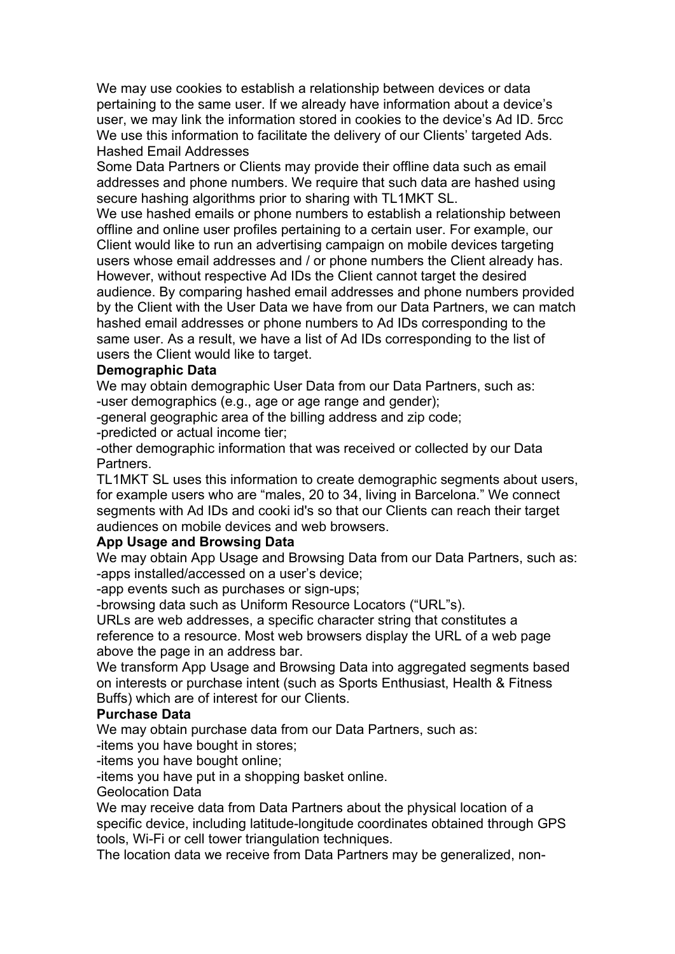We may use cookies to establish a relationship between devices or data pertaining to the same user. If we already have information about a device's user, we may link the information stored in cookies to the device's Ad ID. 5rcc We use this information to facilitate the delivery of our Clients' targeted Ads. Hashed Email Addresses

Some Data Partners or Clients may provide their offline data such as email addresses and phone numbers. We require that such data are hashed using secure hashing algorithms prior to sharing with TL1MKT SL.

We use hashed emails or phone numbers to establish a relationship between offline and online user profiles pertaining to a certain user. For example, our Client would like to run an advertising campaign on mobile devices targeting users whose email addresses and / or phone numbers the Client already has. However, without respective Ad IDs the Client cannot target the desired audience. By comparing hashed email addresses and phone numbers provided by the Client with the User Data we have from our Data Partners, we can match hashed email addresses or phone numbers to Ad IDs corresponding to the same user. As a result, we have a list of Ad IDs corresponding to the list of users the Client would like to target.

### **Demographic Data**

We may obtain demographic User Data from our Data Partners, such as: -user demographics (e.g., age or age range and gender);

-general geographic area of the billing address and zip code;

-predicted or actual income tier;

-other demographic information that was received or collected by our Data Partners.

TL1MKT SL uses this information to create demographic segments about users, for example users who are "males, 20 to 34, living in Barcelona." We connect segments with Ad IDs and cooki id's so that our Clients can reach their target audiences on mobile devices and web browsers.

### **App Usage and Browsing Data**

We may obtain App Usage and Browsing Data from our Data Partners, such as: -apps installed/accessed on a user's device;

-app events such as purchases or sign-ups;

-browsing data such as Uniform Resource Locators ("URL"s).

URLs are web addresses, a specific character string that constitutes a reference to a resource. Most web browsers display the URL of a web page above the page in an address bar.

We transform App Usage and Browsing Data into aggregated segments based on interests or purchase intent (such as Sports Enthusiast, Health & Fitness Buffs) which are of interest for our Clients.

### **Purchase Data**

We may obtain purchase data from our Data Partners, such as:

-items you have bought in stores;

-items you have bought online;

-items you have put in a shopping basket online.

Geolocation Data

We may receive data from Data Partners about the physical location of a specific device, including latitude-longitude coordinates obtained through GPS tools, Wi-Fi or cell tower triangulation techniques.

The location data we receive from Data Partners may be generalized, non-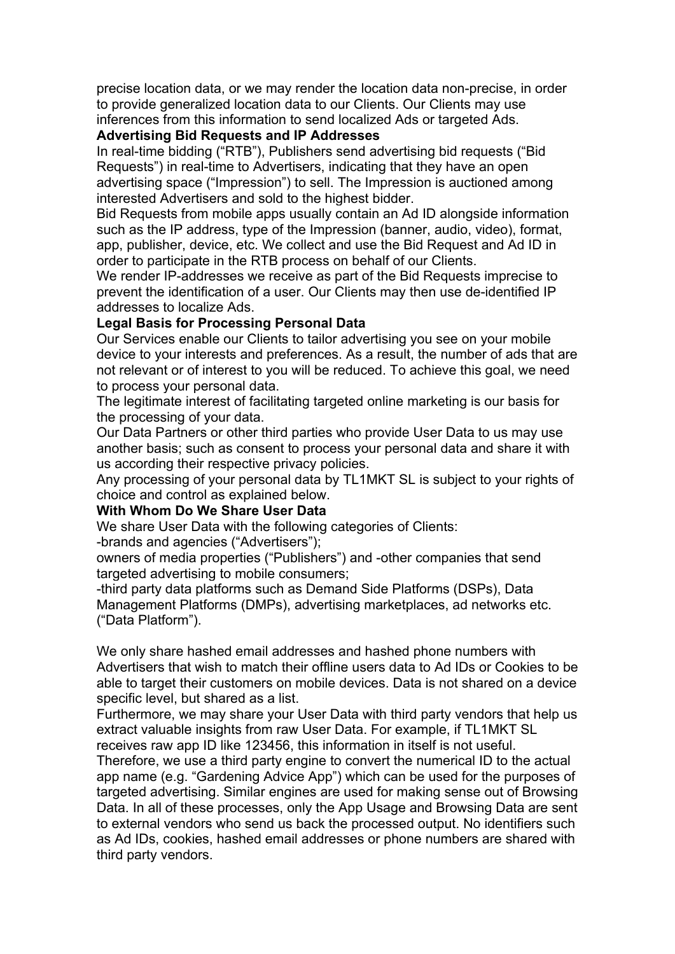precise location data, or we may render the location data non-precise, in order to provide generalized location data to our Clients. Our Clients may use inferences from this information to send localized Ads or targeted Ads.

### **Advertising Bid Requests and IP Addresses**

In real-time bidding ("RTB"), Publishers send advertising bid requests ("Bid Requests") in real-time to Advertisers, indicating that they have an open advertising space ("Impression") to sell. The Impression is auctioned among interested Advertisers and sold to the highest bidder.

Bid Requests from mobile apps usually contain an Ad ID alongside information such as the IP address, type of the Impression (banner, audio, video), format, app, publisher, device, etc. We collect and use the Bid Request and Ad ID in order to participate in the RTB process on behalf of our Clients.

We render IP-addresses we receive as part of the Bid Requests imprecise to prevent the identification of a user. Our Clients may then use de-identified IP addresses to localize Ads.

### **Legal Basis for Processing Personal Data**

Our Services enable our Clients to tailor advertising you see on your mobile device to your interests and preferences. As a result, the number of ads that are not relevant or of interest to you will be reduced. To achieve this goal, we need to process your personal data.

The legitimate interest of facilitating targeted online marketing is our basis for the processing of your data.

Our Data Partners or other third parties who provide User Data to us may use another basis; such as consent to process your personal data and share it with us according their respective privacy policies.

Any processing of your personal data by TL1MKT SL is subject to your rights of choice and control as explained below.

### **With Whom Do We Share User Data**

We share User Data with the following categories of Clients:

-brands and agencies ("Advertisers");

owners of media properties ("Publishers") and -other companies that send targeted advertising to mobile consumers;

-third party data platforms such as Demand Side Platforms (DSPs), Data Management Platforms (DMPs), advertising marketplaces, ad networks etc. ("Data Platform").

We only share hashed email addresses and hashed phone numbers with Advertisers that wish to match their offline users data to Ad IDs or Cookies to be able to target their customers on mobile devices. Data is not shared on a device specific level, but shared as a list.

Furthermore, we may share your User Data with third party vendors that help us extract valuable insights from raw User Data. For example, if TL1MKT SL receives raw app ID like 123456, this information in itself is not useful.

Therefore, we use a third party engine to convert the numerical ID to the actual app name (e.g. "Gardening Advice App") which can be used for the purposes of targeted advertising. Similar engines are used for making sense out of Browsing Data. In all of these processes, only the App Usage and Browsing Data are sent to external vendors who send us back the processed output. No identifiers such as Ad IDs, cookies, hashed email addresses or phone numbers are shared with third party vendors.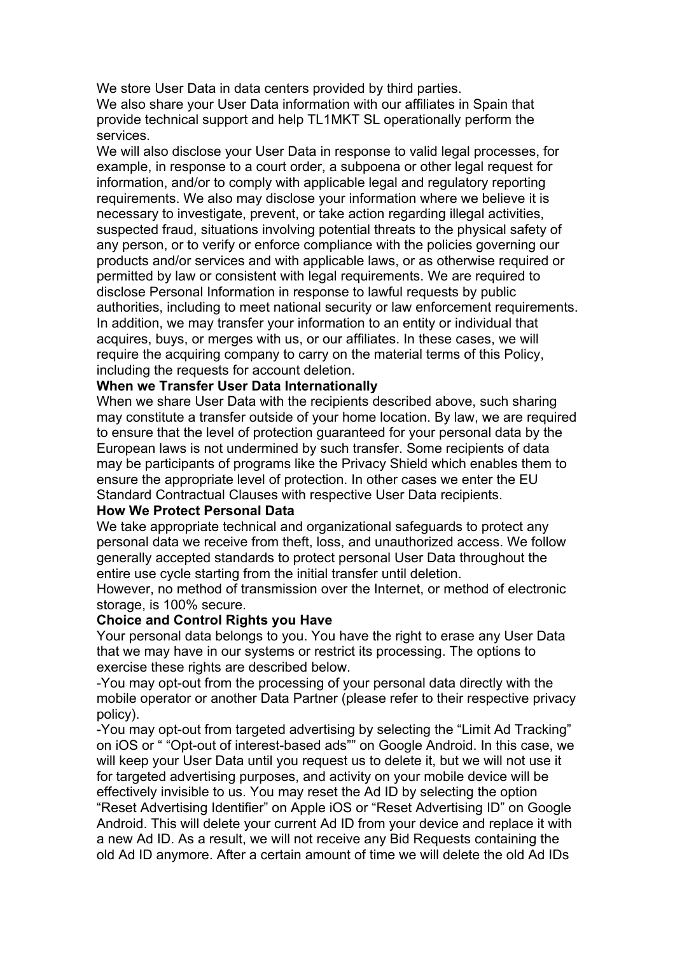We store User Data in data centers provided by third parties.

We also share your User Data information with our affiliates in Spain that provide technical support and help TL1MKT SL operationally perform the services.

We will also disclose your User Data in response to valid legal processes, for example, in response to a court order, a subpoena or other legal request for information, and/or to comply with applicable legal and regulatory reporting requirements. We also may disclose your information where we believe it is necessary to investigate, prevent, or take action regarding illegal activities, suspected fraud, situations involving potential threats to the physical safety of any person, or to verify or enforce compliance with the policies governing our products and/or services and with applicable laws, or as otherwise required or permitted by law or consistent with legal requirements. We are required to disclose Personal Information in response to lawful requests by public authorities, including to meet national security or law enforcement requirements. In addition, we may transfer your information to an entity or individual that acquires, buys, or merges with us, or our affiliates. In these cases, we will require the acquiring company to carry on the material terms of this Policy, including the requests for account deletion.

### **When we Transfer User Data Internationally**

When we share User Data with the recipients described above, such sharing may constitute a transfer outside of your home location. By law, we are required to ensure that the level of protection guaranteed for your personal data by the European laws is not undermined by such transfer. Some recipients of data may be participants of programs like the Privacy Shield which enables them to ensure the appropriate level of protection. In other cases we enter the EU Standard Contractual Clauses with respective User Data recipients.

#### **How We Protect Personal Data**

We take appropriate technical and organizational safeguards to protect any personal data we receive from theft, loss, and unauthorized access. We follow generally accepted standards to protect personal User Data throughout the entire use cycle starting from the initial transfer until deletion.

However, no method of transmission over the Internet, or method of electronic storage, is 100% secure.

#### **Choice and Control Rights you Have**

Your personal data belongs to you. You have the right to erase any User Data that we may have in our systems or restrict its processing. The options to exercise these rights are described below.

-You may opt-out from the processing of your personal data directly with the mobile operator or another Data Partner (please refer to their respective privacy policy).

-You may opt-out from targeted advertising by selecting the "Limit Ad Tracking" on iOS or " "Opt-out of interest-based ads"" on Google Android. In this case, we will keep your User Data until you request us to delete it, but we will not use it for targeted advertising purposes, and activity on your mobile device will be effectively invisible to us. You may reset the Ad ID by selecting the option "Reset Advertising Identifier" on Apple iOS or "Reset Advertising ID" on Google Android. This will delete your current Ad ID from your device and replace it with a new Ad ID. As a result, we will not receive any Bid Requests containing the old Ad ID anymore. After a certain amount of time we will delete the old Ad IDs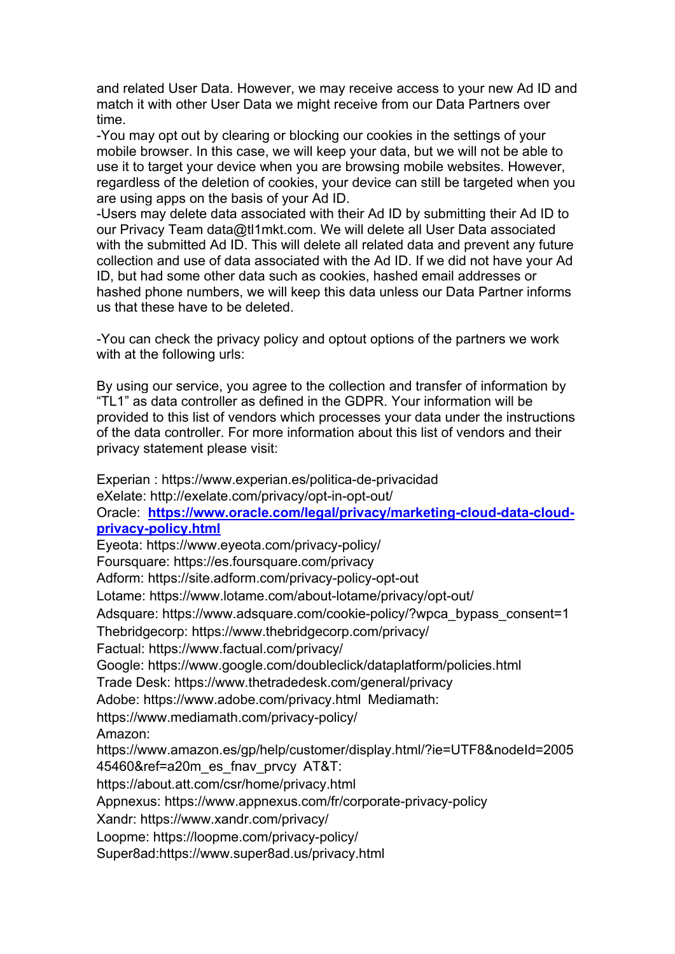and related User Data. However, we may receive access to your new Ad ID and match it with other User Data we might receive from our Data Partners over time.

-You may opt out by clearing or blocking our cookies in the settings of your mobile browser. In this case, we will keep your data, but we will not be able to use it to target your device when you are browsing mobile websites. However, regardless of the deletion of cookies, your device can still be targeted when you are using apps on the basis of your Ad ID.

-Users may delete data associated with their Ad ID by submitting their Ad ID to our Privacy Team data@tl1mkt.com. We will delete all User Data associated with the submitted Ad ID. This will delete all related data and prevent any future collection and use of data associated with the Ad ID. If we did not have your Ad ID, but had some other data such as cookies, hashed email addresses or hashed phone numbers, we will keep this data unless our Data Partner informs us that these have to be deleted.

-You can check the privacy policy and optout options of the partners we work with at the following urls:

By using our service, you agree to the collection and transfer of information by "TL1" as data controller as defined in the GDPR. Your information will be provided to this list of vendors which processes your data under the instructions of the data controller. For more information about this list of vendors and their privacy statement please visit:

Experian : https://www.experian.es/politica-de-privacidad eXelate: http://exelate.com/privacy/opt-in-opt-out/ Oracle: **https://www.oracle.com/legal/privacy/marketing-cloud-data-cloudprivacy-policy.html** Eyeota: https://www.eyeota.com/privacy-policy/ Foursquare: https://es.foursquare.com/privacy Adform: https://site.adform.com/privacy-policy-opt-out Lotame: https://www.lotame.com/about-lotame/privacy/opt-out/ Adsquare: https://www.adsquare.com/cookie-policy/?wpca\_bypass\_consent=1 Thebridgecorp: https://www.thebridgecorp.com/privacy/ Factual: https://www.factual.com/privacy/ Google: https://www.google.com/doubleclick/dataplatform/policies.html Trade Desk: https://www.thetradedesk.com/general/privacy Adobe: https://www.adobe.com/privacy.html Mediamath: https://www.mediamath.com/privacy-policy/ Amazon: https://www.amazon.es/gp/help/customer/display.html/?ie=UTF8&nodeId=2005 45460&ref=a20m\_es\_fnav\_prvcy AT&T: https://about.att.com/csr/home/privacy.html Appnexus: https://www.appnexus.com/fr/corporate-privacy-policy Xandr: https://www.xandr.com/privacy/ Loopme: https://loopme.com/privacy-policy/ Super8ad:https://www.super8ad.us/privacy.html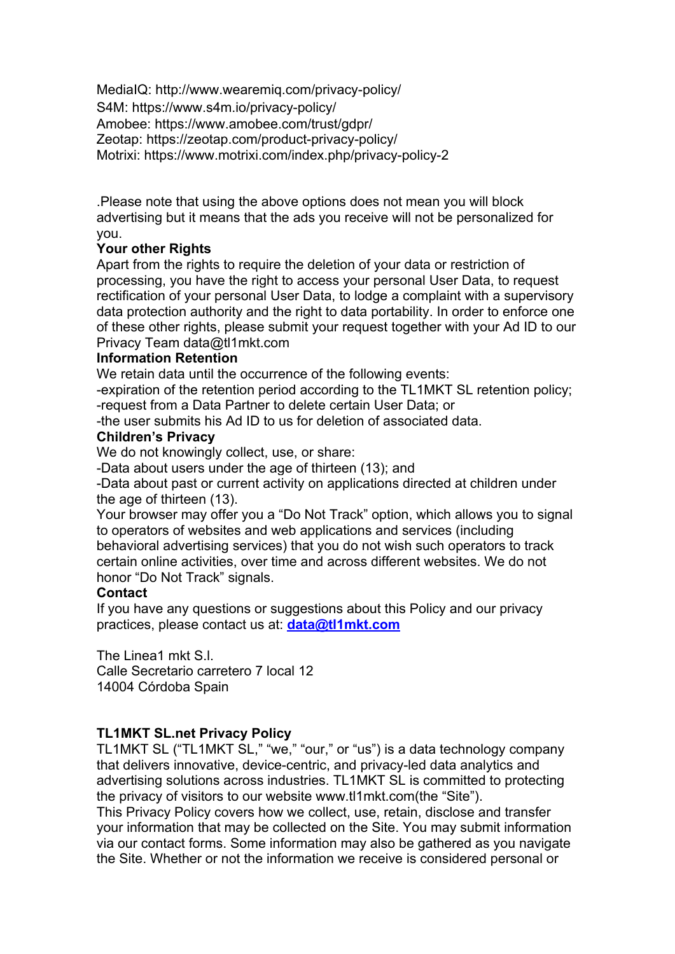MediaIQ: http://www.wearemiq.com/privacy-policy/ S4M: https://www.s4m.io/privacy-policy/ Amobee: https://www.amobee.com/trust/gdpr/ Zeotap: https://zeotap.com/product-privacy-policy/ Motrixi: https://www.motrixi.com/index.php/privacy-policy-2

.Please note that using the above options does not mean you will block advertising but it means that the ads you receive will not be personalized for you.

# **Your other Rights**

Apart from the rights to require the deletion of your data or restriction of processing, you have the right to access your personal User Data, to request rectification of your personal User Data, to lodge a complaint with a supervisory data protection authority and the right to data portability. In order to enforce one of these other rights, please submit your request together with your Ad ID to our Privacy Team data@tl1mkt.com

### **Information Retention**

We retain data until the occurrence of the following events:

-expiration of the retention period according to the TL1MKT SL retention policy; -request from a Data Partner to delete certain User Data; or

-the user submits his Ad ID to us for deletion of associated data.

### **Children's Privacy**

We do not knowingly collect, use, or share:

-Data about users under the age of thirteen (13); and

-Data about past or current activity on applications directed at children under the age of thirteen (13).

Your browser may offer you a "Do Not Track" option, which allows you to signal to operators of websites and web applications and services (including behavioral advertising services) that you do not wish such operators to track certain online activities, over time and across different websites. We do not honor "Do Not Track" signals.

### **Contact**

If you have any questions or suggestions about this Policy and our privacy practices, please contact us at: **data@tl1mkt.com**

The Linea1 mkt S.l. Calle Secretario carretero 7 local 12 14004 Córdoba Spain

### **TL1MKT SL.net Privacy Policy**

TL1MKT SL ("TL1MKT SL," "we," "our," or "us") is a data technology company that delivers innovative, device-centric, and privacy-led data analytics and advertising solutions across industries. TL1MKT SL is committed to protecting the privacy of visitors to our website www.tl1mkt.com(the "Site").

This Privacy Policy covers how we collect, use, retain, disclose and transfer your information that may be collected on the Site. You may submit information via our contact forms. Some information may also be gathered as you navigate the Site. Whether or not the information we receive is considered personal or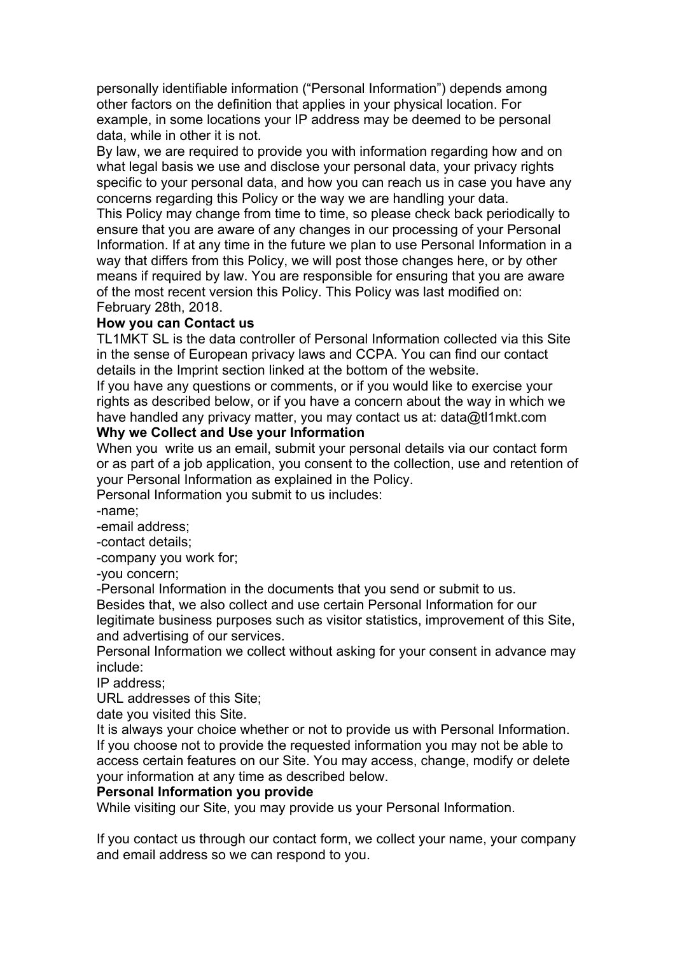personally identifiable information ("Personal Information") depends among other factors on the definition that applies in your physical location. For example, in some locations your IP address may be deemed to be personal data, while in other it is not.

By law, we are required to provide you with information regarding how and on what legal basis we use and disclose your personal data, your privacy rights specific to your personal data, and how you can reach us in case you have any concerns regarding this Policy or the way we are handling your data.

This Policy may change from time to time, so please check back periodically to ensure that you are aware of any changes in our processing of your Personal Information. If at any time in the future we plan to use Personal Information in a way that differs from this Policy, we will post those changes here, or by other means if required by law. You are responsible for ensuring that you are aware of the most recent version this Policy. This Policy was last modified on: February 28th, 2018.

### **How you can Contact us**

TL1MKT SL is the data controller of Personal Information collected via this Site in the sense of European privacy laws and CCPA. You can find our contact details in the Imprint section linked at the bottom of the website.

If you have any questions or comments, or if you would like to exercise your rights as described below, or if you have a concern about the way in which we have handled any privacy matter, you may contact us at: data@tl1mkt.com

### **Why we Collect and Use your Information**

When you write us an email, submit your personal details via our contact form or as part of a job application, you consent to the collection, use and retention of your Personal Information as explained in the Policy.

Personal Information you submit to us includes:

-name;

-email address;

-contact details;

-company you work for;

-you concern;

-Personal Information in the documents that you send or submit to us.

Besides that, we also collect and use certain Personal Information for our legitimate business purposes such as visitor statistics, improvement of this Site, and advertising of our services.

Personal Information we collect without asking for your consent in advance may include:

IP address;

URL addresses of this Site;

date you visited this Site.

It is always your choice whether or not to provide us with Personal Information. If you choose not to provide the requested information you may not be able to access certain features on our Site. You may access, change, modify or delete your information at any time as described below.

#### **Personal Information you provide**

While visiting our Site, you may provide us your Personal Information.

If you contact us through our contact form, we collect your name, your company and email address so we can respond to you.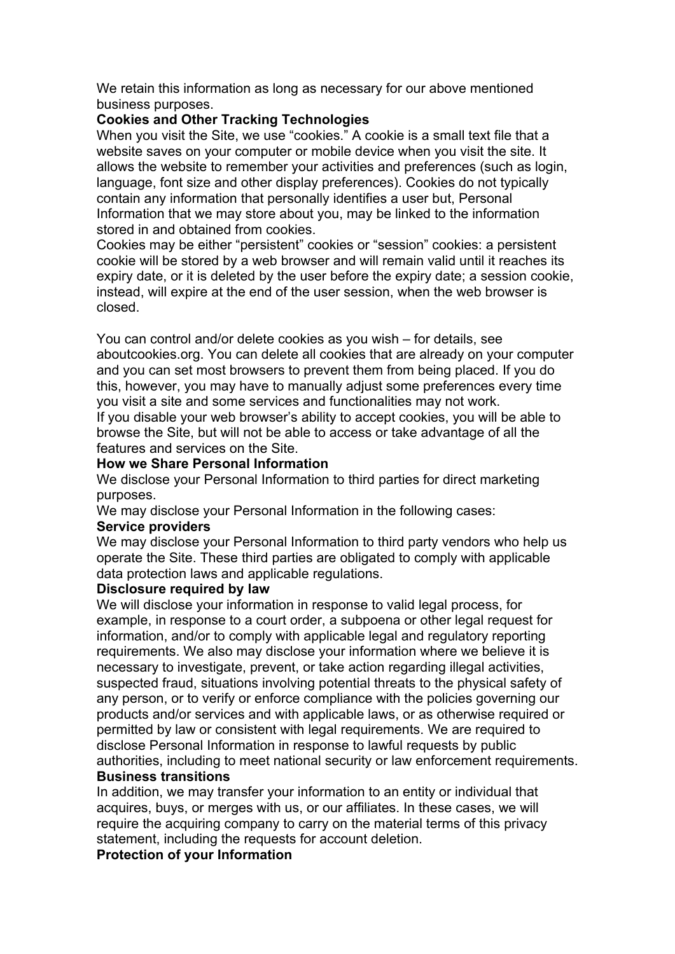We retain this information as long as necessary for our above mentioned business purposes.

### **Cookies and Other Tracking Technologies**

When you visit the Site, we use "cookies." A cookie is a small text file that a website saves on your computer or mobile device when you visit the site. It allows the website to remember your activities and preferences (such as login, language, font size and other display preferences). Cookies do not typically contain any information that personally identifies a user but, Personal Information that we may store about you, may be linked to the information stored in and obtained from cookies.

Cookies may be either "persistent" cookies or "session" cookies: a persistent cookie will be stored by a web browser and will remain valid until it reaches its expiry date, or it is deleted by the user before the expiry date; a session cookie, instead, will expire at the end of the user session, when the web browser is closed.

You can control and/or delete cookies as you wish – for details, see aboutcookies.org. You can delete all cookies that are already on your computer and you can set most browsers to prevent them from being placed. If you do this, however, you may have to manually adjust some preferences every time you visit a site and some services and functionalities may not work.

If you disable your web browser's ability to accept cookies, you will be able to browse the Site, but will not be able to access or take advantage of all the features and services on the Site.

# **How we Share Personal Information**

We disclose your Personal Information to third parties for direct marketing purposes.

We may disclose your Personal Information in the following cases:

### **Service providers**

We may disclose your Personal Information to third party vendors who help us operate the Site. These third parties are obligated to comply with applicable data protection laws and applicable regulations.

### **Disclosure required by law**

We will disclose your information in response to valid legal process, for example, in response to a court order, a subpoena or other legal request for information, and/or to comply with applicable legal and regulatory reporting requirements. We also may disclose your information where we believe it is necessary to investigate, prevent, or take action regarding illegal activities, suspected fraud, situations involving potential threats to the physical safety of any person, or to verify or enforce compliance with the policies governing our products and/or services and with applicable laws, or as otherwise required or permitted by law or consistent with legal requirements. We are required to disclose Personal Information in response to lawful requests by public authorities, including to meet national security or law enforcement requirements. **Business transitions**

In addition, we may transfer your information to an entity or individual that acquires, buys, or merges with us, or our affiliates. In these cases, we will require the acquiring company to carry on the material terms of this privacy statement, including the requests for account deletion.

### **Protection of your Information**